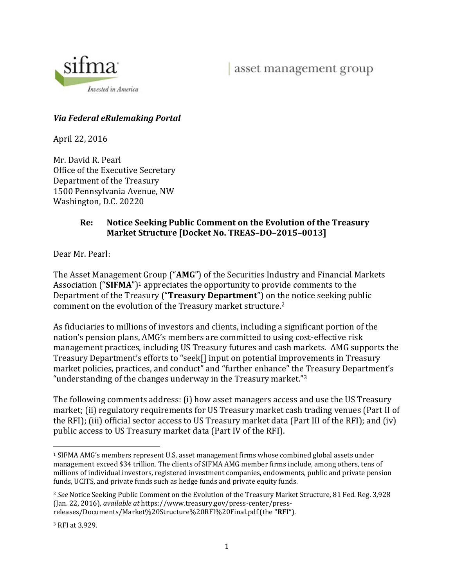

# *Via Federal eRulemaking Portal*

April 22, 2016

Mr. David R. Pearl Office of the Executive Secretary Department of the Treasury 1500 Pennsylvania Avenue, NW Washington, D.C. 20220

#### **Re: Notice Seeking Public Comment on the Evolution of the Treasury Market Structure [Docket No. TREAS–DO–2015–0013]**

Dear Mr. Pearl:

The Asset Management Group ("**AMG**") of the Securities Industry and Financial Markets Association  $("SIFMA")<sup>1</sup>$  appreciates the opportunity to provide comments to the Department of the Treasury ("**Treasury Department**") on the notice seeking public comment on the evolution of the Treasury market structure.<sup>2</sup>

As fiduciaries to millions of investors and clients, including a significant portion of the nation's pension plans, AMG's members are committed to using cost-effective risk management practices, including US Treasury futures and cash markets. AMG supports the Treasury Department's efforts to "seek[] input on potential improvements in Treasury market policies, practices, and conduct" and "further enhance" the Treasury Department's "understanding of the changes underway in the Treasury market." $3$ 

The following comments address: (i) how asset managers access and use the US Treasury market; (ii) regulatory requirements for US Treasury market cash trading venues (Part II of the RFI); (iii) official sector access to US Treasury market data (Part III of the RFI); and (iv) public access to US Treasury market data (Part IV of the RFI).

 <sup>1</sup> SIFMA AMG's members represent U.S. asset management firms whose combined global assets under management exceed \$34 trillion. The clients of SIFMA AMG member firms include, among others, tens of millions of individual investors, registered investment companies, endowments, public and private pension funds, UCITS, and private funds such as hedge funds and private equity funds.

<sup>&</sup>lt;sup>2</sup> See Notice Seeking Public Comment on the Evolution of the Treasury Market Structure, 81 Fed. Reg. 3,928 (Jan. 22, 2016), *available at* https://www.treasury.gov/press‐center/press‐

releases/Documents/Market%20Structure%20RFI%20Final.pdf (the "RFI").

<sup>&</sup>lt;sup>3</sup> RFI at 3.929.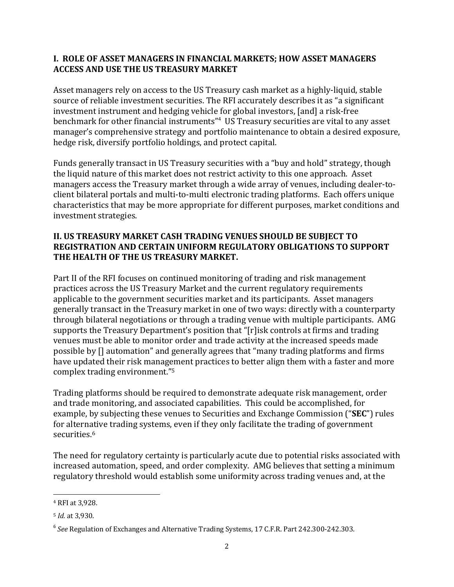### **I. ROLE OF ASSET MANAGERS IN FINANCIAL MARKETS; HOW ASSET MANAGERS ACCESS AND USE THE US TREASURY MARKET**

Asset managers rely on access to the US Treasury cash market as a highly-liquid, stable source of reliable investment securities. The RFI accurately describes it as "a significant investment instrument and hedging vehicle for global investors, [and] a risk-free benchmark for other financial instruments"<sup>4</sup> US Treasury securities are vital to any asset manager's comprehensive strategy and portfolio maintenance to obtain a desired exposure, hedge risk, diversify portfolio holdings, and protect capital.

Funds generally transact in US Treasury securities with a "buy and hold" strategy, though the liquid nature of this market does not restrict activity to this one approach. Asset managers access the Treasury market through a wide array of venues, including dealer-toclient bilateral portals and multi-to-multi electronic trading platforms. Each offers unique characteristics that may be more appropriate for different purposes, market conditions and investment strategies.

# **II. US TREASURY MARKET CASH TRADING VENUES SHOULD BE SUBJECT TO REGISTRATION AND CERTAIN UNIFORM REGULATORY OBLIGATIONS TO SUPPORT THE HEALTH OF THE US TREASURY MARKET.**

Part II of the RFI focuses on continued monitoring of trading and risk management practices across the US Treasury Market and the current regulatory requirements applicable to the government securities market and its participants. Asset managers generally transact in the Treasury market in one of two ways: directly with a counterparty through bilateral negotiations or through a trading venue with multiple participants. AMG supports the Treasury Department's position that "[r]isk controls at firms and trading venues must be able to monitor order and trade activity at the increased speeds made possible by  $\iint$  automation" and generally agrees that "many trading platforms and firms have updated their risk management practices to better align them with a faster and more complex trading environment."<sup>5</sup>

Trading platforms should be required to demonstrate adequate risk management, order and trade monitoring, and associated capabilities. This could be accomplished, for example, by subjecting these venues to Securities and Exchange Commission ("**SEC**") rules for alternative trading systems, even if they only facilitate the trading of government securities.6

The need for regulatory certainty is particularly acute due to potential risks associated with increased automation, speed, and order complexity. AMG believes that setting a minimum regulatory threshold would establish some uniformity across trading venues and, at the

 4 RFI at 3,928. 

<sup>5</sup> *Id.* at 3,930. 

<sup>&</sup>lt;sup>6</sup> See Regulation of Exchanges and Alternative Trading Systems, 17 C.F.R. Part 242.300-242.303.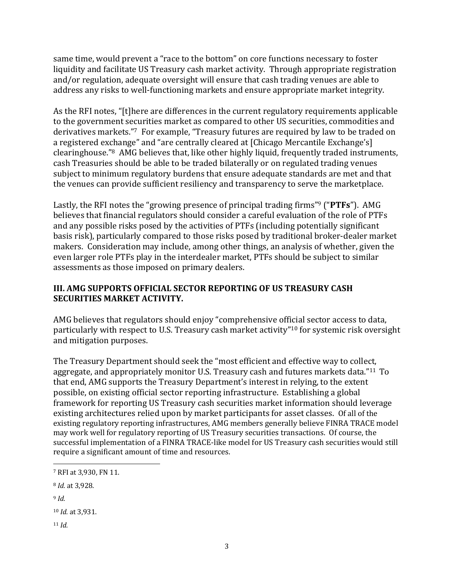same time, would prevent a "race to the bottom" on core functions necessary to foster liquidity and facilitate US Treasury cash market activity. Through appropriate registration and/or regulation, adequate oversight will ensure that cash trading venues are able to address any risks to well-functioning markets and ensure appropriate market integrity.

As the RFI notes, "[t]here are differences in the current regulatory requirements applicable to the government securities market as compared to other US securities, commodities and derivatives markets."7 For example, "Treasury futures are required by law to be traded on a registered exchange" and "are centrally cleared at [Chicago Mercantile Exchange's] clearinghouse."<sup>8</sup> AMG believes that, like other highly liquid, frequently traded instruments, cash Treasuries should be able to be traded bilaterally or on regulated trading venues subject to minimum regulatory burdens that ensure adequate standards are met and that the venues can provide sufficient resiliency and transparency to serve the marketplace.

Lastly, the RFI notes the "growing presence of principal trading firms"<sup>9</sup> ("PTFs"). AMG believes that financial regulators should consider a careful evaluation of the role of PTFs and any possible risks posed by the activities of PTFs (including potentially significant basis risk), particularly compared to those risks posed by traditional broker-dealer market makers. Consideration may include, among other things, an analysis of whether, given the even larger role PTFs play in the interdealer market, PTFs should be subject to similar assessments as those imposed on primary dealers.

# **III. AMG SUPPORTS OFFICIAL SECTOR REPORTING OF US TREASURY CASH SECURITIES MARKET ACTIVITY.**

AMG believes that regulators should enjoy "comprehensive official sector access to data, particularly with respect to U.S. Treasury cash market activity"<sup>10</sup> for systemic risk oversight and mitigation purposes.

The Treasury Department should seek the "most efficient and effective way to collect, aggregate, and appropriately monitor U.S. Treasury cash and futures markets data."<sup>11</sup> To that end, AMG supports the Treasury Department's interest in relying, to the extent possible, on existing official sector reporting infrastructure. Establishing a global framework for reporting US Treasury cash securities market information should leverage existing architectures relied upon by market participants for asset classes. Of all of the existing regulatory reporting infrastructures, AMG members generally believe FINRA TRACE model may work well for regulatory reporting of US Treasury securities transactions. Of course, the successful implementation of a FINRA TRACE-like model for US Treasury cash securities would still require a significant amount of time and resources.

<sup>11</sup> *Id.*

 <sup>7</sup> RFI at 3,930, FN 11.

<sup>8</sup> *Id.* at 3,928. 

<sup>9</sup> *Id.*

<sup>10</sup> *Id.* at 3,931.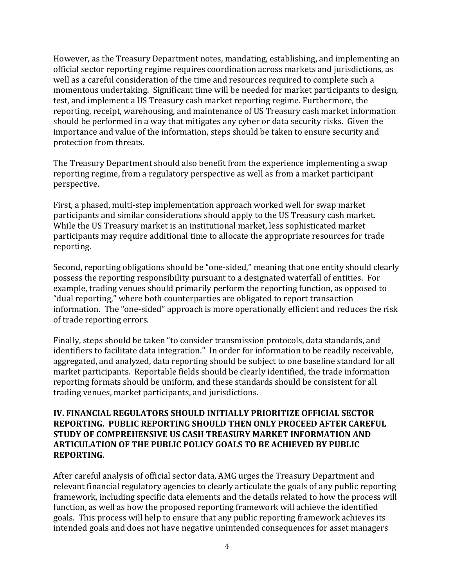However, as the Treasury Department notes, mandating, establishing, and implementing an official sector reporting regime requires coordination across markets and jurisdictions, as well as a careful consideration of the time and resources required to complete such a momentous undertaking. Significant time will be needed for market participants to design, test, and implement a US Treasury cash market reporting regime. Furthermore, the reporting, receipt, warehousing, and maintenance of US Treasury cash market information should be performed in a way that mitigates any cyber or data security risks. Given the importance and value of the information, steps should be taken to ensure security and protection from threats.

The Treasury Department should also benefit from the experience implementing a swap reporting regime, from a regulatory perspective as well as from a market participant perspective. 

First, a phased, multi-step implementation approach worked well for swap market participants and similar considerations should apply to the US Treasury cash market. While the US Treasury market is an institutional market, less sophisticated market participants may require additional time to allocate the appropriate resources for trade reporting. 

Second, reporting obligations should be "one-sided," meaning that one entity should clearly possess the reporting responsibility pursuant to a designated waterfall of entities. For example, trading venues should primarily perform the reporting function, as opposed to " dual reporting," where both counterparties are obligated to report transaction information. The "one-sided" approach is more operationally efficient and reduces the risk of trade reporting errors.

Finally, steps should be taken "to consider transmission protocols, data standards, and identifiers to facilitate data integration." In order for information to be readily receivable, aggregated, and analyzed, data reporting should be subject to one baseline standard for all market participants. Reportable fields should be clearly identified, the trade information reporting formats should be uniform, and these standards should be consistent for all trading venues, market participants, and jurisdictions.

#### **IV. FINANCIAL REGULATORS SHOULD INITIALLY PRIORITIZE OFFICIAL SECTOR REPORTING. PUBLIC REPORTING SHOULD THEN ONLY PROCEED AFTER CAREFUL STUDY OF COMPREHENSIVE US CASH TREASURY MARKET INFORMATION AND ARTICULATION OF THE PUBLIC POLICY GOALS TO BE ACHIEVED BY PUBLIC REPORTING.**

After careful analysis of official sector data, AMG urges the Treasury Department and relevant financial regulatory agencies to clearly articulate the goals of any public reporting framework, including specific data elements and the details related to how the process will function, as well as how the proposed reporting framework will achieve the identified goals. This process will help to ensure that any public reporting framework achieves its intended goals and does not have negative unintended consequences for asset managers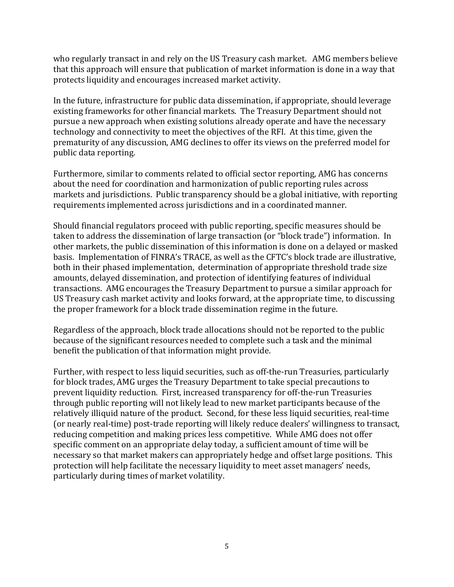who regularly transact in and rely on the US Treasury cash market. AMG members believe that this approach will ensure that publication of market information is done in a way that protects liquidity and encourages increased market activity.

In the future, infrastructure for public data dissemination, if appropriate, should leverage existing frameworks for other financial markets. The Treasury Department should not pursue a new approach when existing solutions already operate and have the necessary technology and connectivity to meet the objectives of the RFI. At this time, given the prematurity of any discussion, AMG declines to offer its views on the preferred model for public data reporting.

Furthermore, similar to comments related to official sector reporting, AMG has concerns about the need for coordination and harmonization of public reporting rules across markets and jurisdictions. Public transparency should be a global initiative, with reporting requirements implemented across jurisdictions and in a coordinated manner.

Should financial regulators proceed with public reporting, specific measures should be taken to address the dissemination of large transaction (or "block trade") information. In other markets, the public dissemination of this information is done on a delayed or masked basis. Implementation of FINRA's TRACE, as well as the CFTC's block trade are illustrative, both in their phased implementation, determination of appropriate threshold trade size amounts, delayed dissemination, and protection of identifying features of individual transactions. AMG encourages the Treasury Department to pursue a similar approach for US Treasury cash market activity and looks forward, at the appropriate time, to discussing the proper framework for a block trade dissemination regime in the future.

Regardless of the approach, block trade allocations should not be reported to the public because of the significant resources needed to complete such a task and the minimal benefit the publication of that information might provide.

Further, with respect to less liquid securities, such as off-the-run Treasuries, particularly for block trades, AMG urges the Treasury Department to take special precautions to prevent liquidity reduction. First, increased transparency for off-the-run Treasuries through public reporting will not likely lead to new market participants because of the relatively illiquid nature of the product. Second, for these less liquid securities, real-time (or nearly real-time) post-trade reporting will likely reduce dealers' willingness to transact, reducing competition and making prices less competitive. While AMG does not offer specific comment on an appropriate delay today, a sufficient amount of time will be necessary so that market makers can appropriately hedge and offset large positions. This protection will help facilitate the necessary liquidity to meet asset managers' needs, particularly during times of market volatility.